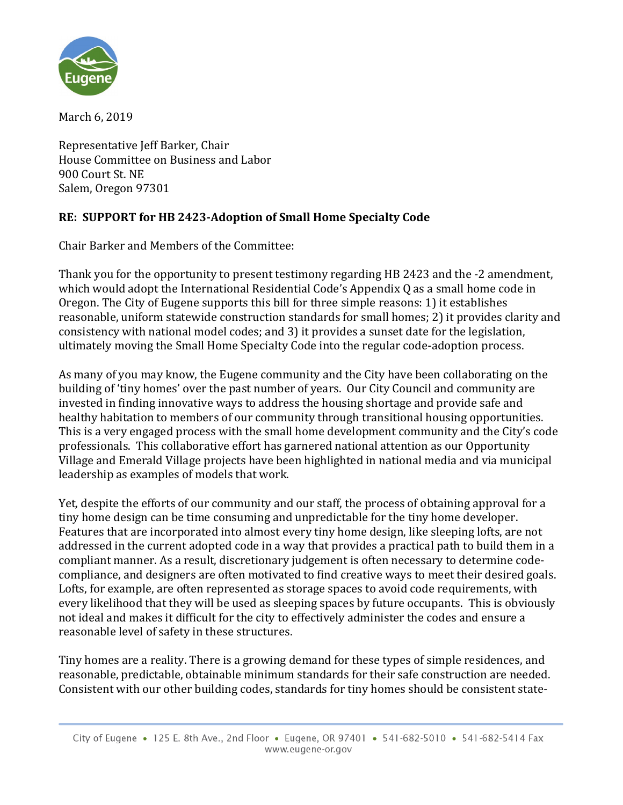

March 6, 2019

Representative Jeff Barker, Chair House Committee on Business and Labor 900 Court St. NE Salem, Oregon 97301

## **RE: SUPPORT for HB 2423-Adoption of Small Home Specialty Code**

Chair Barker and Members of the Committee:

Thank you for the opportunity to present testimony regarding HB 2423 and the -2 amendment, which would adopt the International Residential Code's Appendix Q as a small home code in Oregon. The City of Eugene supports this bill for three simple reasons: 1) it establishes reasonable, uniform statewide construction standards for small homes; 2) it provides clarity and consistency with national model codes; and 3) it provides a sunset date for the legislation, ultimately moving the Small Home Specialty Code into the regular code-adoption process.

As many of you may know, the Eugene community and the City have been collaborating on the building of 'tiny homes' over the past number of years. Our City Council and community are invested in finding innovative ways to address the housing shortage and provide safe and healthy habitation to members of our community through transitional housing opportunities. This is a very engaged process with the small home development community and the City's code professionals. This collaborative effort has garnered national attention as our Opportunity Village and Emerald Village projects have been highlighted in national media and via municipal leadership as examples of models that work.

Yet, despite the efforts of our community and our staff, the process of obtaining approval for a tiny home design can be time consuming and unpredictable for the tiny home developer. Features that are incorporated into almost every tiny home design, like sleeping lofts, are not addressed in the current adopted code in a way that provides a practical path to build them in a compliant manner. As a result, discretionary judgement is often necessary to determine codecompliance, and designers are often motivated to find creative ways to meet their desired goals. Lofts, for example, are often represented as storage spaces to avoid code requirements, with every likelihood that they will be used as sleeping spaces by future occupants. This is obviously not ideal and makes it difficult for the city to effectively administer the codes and ensure a reasonable level of safety in these structures.

Tiny homes are a reality. There is a growing demand for these types of simple residences, and reasonable, predictable, obtainable minimum standards for their safe construction are needed. Consistent with our other building codes, standards for tiny homes should be consistent state